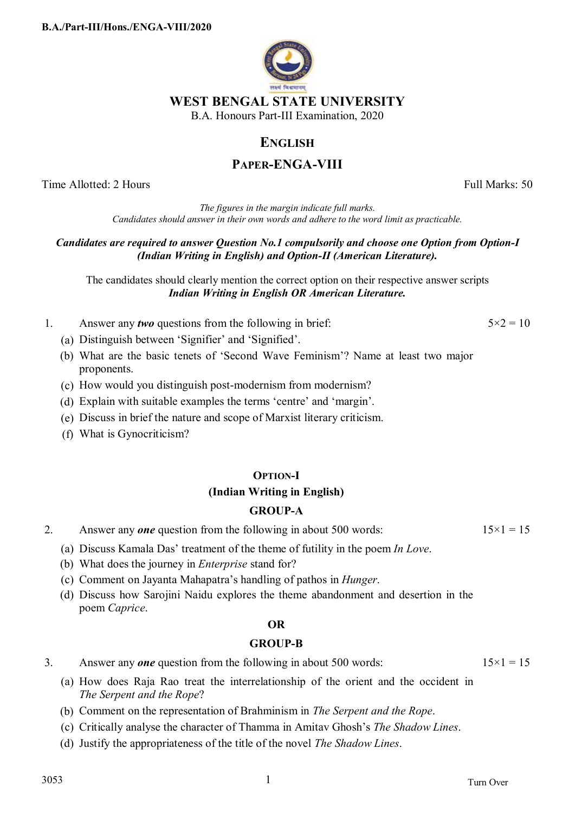

**WEST BENGAL STATE UNIVERSITY**  B.A. Honours Part-III Examination, 2020

# **ENGLISH**

# **PAPER-ENGA-VIII**

Time Allotted: 2 Hours Full Marks: 50

*The figures in the margin indicate full marks. Candidates should answer in their own words and adhere to the word limit as practicable.*

## *Candidates are required to answer Question No.1 compulsorily and choose one Option from Option-I (Indian Writing in English) and Option-II (American Literature).*

The candidates should clearly mention the correct option on their respective answer scripts *Indian Writing in English OR American Literature.* 

- 1. Answer any *two* questions from the following in brief:  $5 \times 2 = 10$ 
	- (a) Distinguish between 'Signifier' and 'Signified'.
	- (b) What are the basic tenets of 'Second Wave Feminism'? Name at least two major proponents.
	- (c) How would you distinguish post-modernism from modernism?
	- (d) Explain with suitable examples the terms 'centre' and 'margin'.
	- (e) Discuss in brief the nature and scope of Marxist literary criticism.
	- (f) What is Gynocriticism?

## **OPTION-I**

# **(Indian Writing in English)**

## **GROUP-A**

- 2. Answer any *one* question from the following in about 500 words:  $15 \times 1 = 15$ 
	- (a) Discuss Kamala Das' treatment of the theme of futility in the poem *In Love*.
	- (b) What does the journey in *Enterprise* stand for?
	- (c) Comment on Jayanta Mahapatra's handling of pathos in *Hunger*.
	- (d) Discuss how Sarojini Naidu explores the theme abandonment and desertion in the poem *Caprice*.

## **OR**

## **GROUP-B**

3. Answer any *one* question from the following in about 500 words:  $15 \times 1 = 15$ 

- (a) How does Raja Rao treat the interrelationship of the orient and the occident in *The Serpent and the Rope*?
- (b) Comment on the representation of Brahminism in *The Serpent and the Rope*.
- (c) Critically analyse the character of Thamma in Amitav Ghosh's *The Shadow Lines*.
- (d) Justify the appropriateness of the title of the novel *The Shadow Lines*.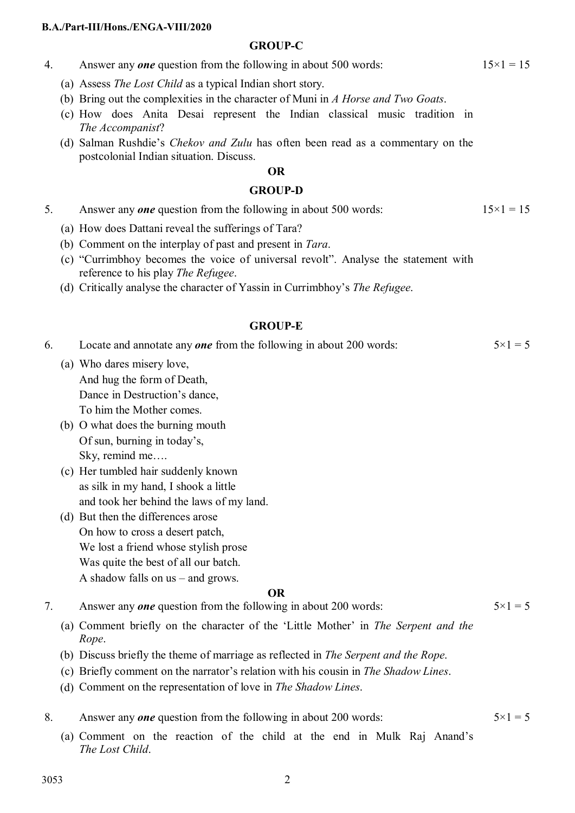#### **B.A./Part-III/Hons./ENGA-VIII/2020**

## **GROUP-C**

- 4. Answer any *one* question from the following in about 500 words:  $15 \times 1 = 15$ 
	- (a) Assess *The Lost Child* as a typical Indian short story.
	- (b) Bring out the complexities in the character of Muni in *A Horse and Two Goats*.
	- (c) How does Anita Desai represent the Indian classical music tradition in *The Accompanist*?
	- (d) Salman Rushdie's *Chekov and Zulu* has often been read as a commentary on the postcolonial Indian situation. Discuss.

## **OR**

### **GROUP-D**

- 5. Answer any *one* question from the following in about 500 words:  $15 \times 1 = 15$ 
	- (a) How does Dattani reveal the sufferings of Tara?
	- (b) Comment on the interplay of past and present in *Tara*.
	- (c) "Currimbhoy becomes the voice of universal revolt". Analyse the statement with reference to his play *The Refugee*.
	- (d) Critically analyse the character of Yassin in Currimbhoy's *The Refugee*.

## **GROUP-E**

| Locate and annotate any <b>one</b> from the following in about 200 words: | $5 \times 1 = 5$ |
|---------------------------------------------------------------------------|------------------|
| (a) Who dares misery love,                                                |                  |

- And hug the form of Death, Dance in Destruction's dance, To him the Mother comes.
- (b) O what does the burning mouth Of sun, burning in today's, Sky, remind me….
- (c) Her tumbled hair suddenly known as silk in my hand, I shook a little and took her behind the laws of my land.
- (d) But then the differences arose On how to cross a desert patch, We lost a friend whose stylish prose Was quite the best of all our batch. A shadow falls on us – and grows.

#### **OR**

7. Answer any *one* question from the following in about 200 words:  $5 \times 1 = 5$ 

- (a) Comment briefly on the character of the 'Little Mother' in *The Serpent and the Rope*.
- (b) Discuss briefly the theme of marriage as reflected in *The Serpent and the Rope*.
- (c) Briefly comment on the narrator's relation with his cousin in *The Shadow Lines*.
- (d) Comment on the representation of love in *The Shadow Lines*.
- 8. Answer any *one* question from the following in about 200 words:  $5 \times 1 = 5$ 
	- (a) Comment on the reaction of the child at the end in Mulk Raj Anand's *The Lost Child*.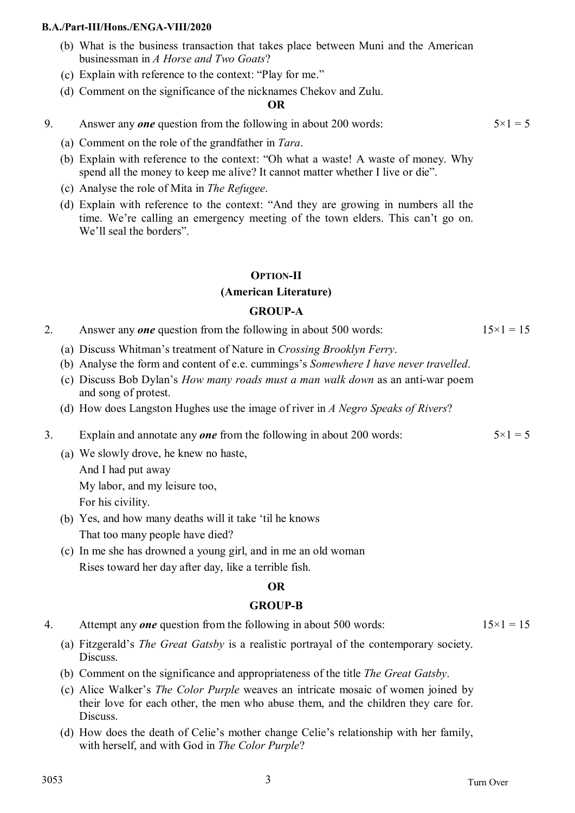#### **B.A./Part-III/Hons./ENGA-VIII/2020**

- (b) What is the business transaction that takes place between Muni and the American businessman in *A Horse and Two Goats*?
- (c) Explain with reference to the context: "Play for me."
- (d) Comment on the significance of the nicknames Chekov and Zulu.

## **OR**

- 9. Answer any *one* question from the following in about 200 words:  $5 \times 1 = 5$ 
	- (a) Comment on the role of the grandfather in *Tara*.
	- (b) Explain with reference to the context: "Oh what a waste! A waste of money. Why spend all the money to keep me alive? It cannot matter whether I live or die".
	- (c) Analyse the role of Mita in *The Refugee*.
	- (d) Explain with reference to the context: "And they are growing in numbers all the time. We're calling an emergency meeting of the town elders. This can't go on. We'll seal the borders".

## **OPTION-II**

## **(American Literature)**

## **GROUP-A**

| Answer any <i>one</i> question from the following in about 500 words: | $15 \times 1 = 15$ |
|-----------------------------------------------------------------------|--------------------|
|-----------------------------------------------------------------------|--------------------|

- (a) Discuss Whitman's treatment of Nature in *Crossing Brooklyn Ferry*.
- (b) Analyse the form and content of e.e. cummings's *Somewhere I have never travelled*.
- (c) Discuss Bob Dylan's *How many roads must a man walk down* as an anti-war poem and song of protest.
- (d) How does Langston Hughes use the image of river in *A Negro Speaks of Rivers*?
- 3. Explain and annotate any *one* from the following in about 200 words:  $5 \times 1 = 5$ 
	- (a) We slowly drove, he knew no haste,

And I had put away

My labor, and my leisure too,

For his civility.

- (b) Yes, and how many deaths will it take 'til he knows That too many people have died?
- (c) In me she has drowned a young girl, and in me an old woman Rises toward her day after day, like a terrible fish.

## **OR**

## **GROUP-B**

- 4. Attempt any *one* question from the following in about 500 words:  $15 \times 1 = 15$ 
	- (a) Fitzgerald's *The Great Gatsby* is a realistic portrayal of the contemporary society. Discuss.
	- (b) Comment on the significance and appropriateness of the title *The Great Gatsby*.
	- (c) Alice Walker's *The Color Purple* weaves an intricate mosaic of women joined by their love for each other, the men who abuse them, and the children they care for. Discuss.
	- (d) How does the death of Celie's mother change Celie's relationship with her family, with herself, and with God in *The Color Purple*?